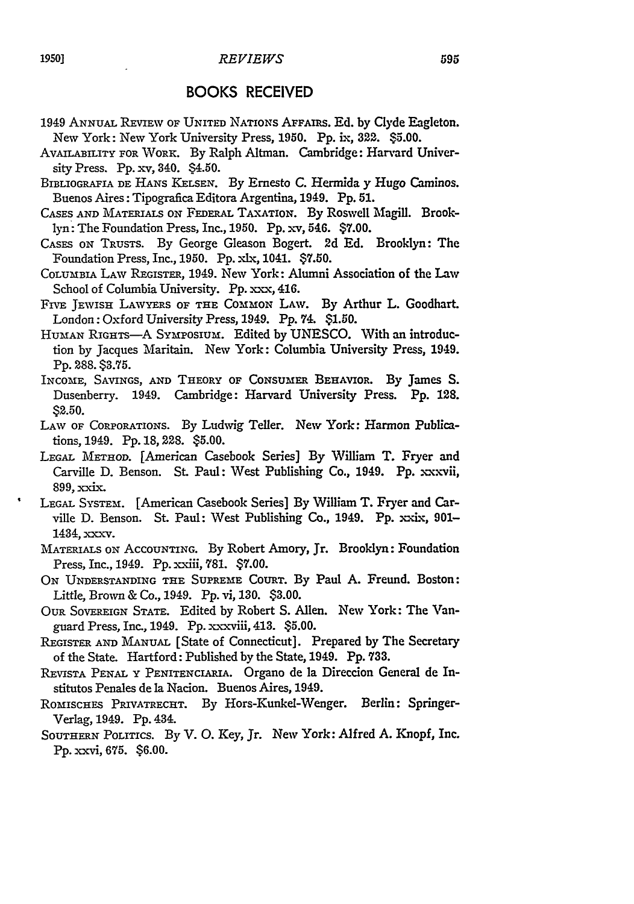## BOOKS RECEIVED

- 1949 ANNUAL REVIEW OF UNITED NATIONS AFFAIRS. Ed. by Clyde Eagleton. New York: New York University Press, **1950. Pp.** ix, **322.** \$5.00.
- AVAILABILITY FOR WoRK. By Ralph Altman. Cambridge: Harvard University Press. Pp.  $xy$ , 340. \$4.50.
- BIBLIOGRAFIA DE HANS KELSEN. **By** Ernesto C. Hermida **y** Hugo Caminos. Buenos Aires: Tipografica Editora Argentina, 1949. **Pp. 51.**
- CASES **AND** MATERIALS ON FEDERAL TAXATION. By Roswell Magill. Brooklyn: The Foundation Press, Inc., 1950. Pp. xv, 546. \$7.00.
- CASES ox TRUSTS. By George Gleason Bogert. 2d Ed. Brooklyn: The Foundation Press, Inc., 1950. Pp. xlx, 1041. \$7.50.
- COLUMBIA LAV REGISTER, 1949. New York: Alumni Association of the Law School of Columbia University. Pp. xxx, 416.
- FIVE JEWISH LAWYERS OF THE COMMON LAW. By Arthur L. Goodhart. London: Oxford University Press, 1949. Pp. 74. \$1.50.
- HUMAN RIGHTS-A SYmPOSIUM. Edited **by UNESCO.** With an introduction by Jacques Maritain. New York: Columbia University Press, 1949. **Pp. 288. \$3.75.**
- INCOME, SAVINGS, AND THEORY OF **CONSUMER** BEHAVIOR. By James S. Dusenberry. 1949. Cambridge: Harvard University Press. **Pp.** 128. **\$2.50.**
- LAW OF CORPORATIONS. By Ludwig Teller. New York: Harmon Publications, 1949. Pp. 18,228. \$5.00.
- **LEGAL** METHOD. [American Casebook Series] **By** William T. Fryer and Carville **D.** Benson. St. Paul: West Publishing Co., 1949. **Pp.** xxxvii, 899, xxix.
- LEGAL SYSTEM. [American Casebook Series] By William T. Fryer and Carville D. Benson. St. Paul: West Publishing Co., 1949. Pp. xxix, 901-1434, xxxv.
- MATERIALS ON ACCOUNTING. **By** Robert Amory, Jr. Brooklyn: Foundation Press, Inc., 1949. Pp. xxiii, 781. \$7.00.
- **ON** UNDERSTANDING THE **SUPREME** COURT. By Paul **A.** Freund. Boston: Little, Brown & Co., 1949. **Pp.** vi, **130. \$3.00.**
- OUR **SOVEREIGN** STATE. Edited **by** Robert **S.** Allen. New York: The Vanguard Press, Inc., 1949. **Pp.** x-xviii, 413. **\$5.00.**
- REGISTER **AND** MANUAL [State of Connecticut]. Prepared **by** The Secretary of the State. Hartford: Published **by** the State, 1949. **Pp. 733.**
- REVISTA PENAL Y PENITENCIARIA. Organo de la Direccion General de Institutos Penales de la Nacion. Buenos Aires, 1949.
- ROMISCHES PRIVATRECHT. By Hors-Kunkel-Wenger. Berlin: Springer-Verlag, 1949. **Pp.** 434.
- SOUTHERN **POLITICS.** By V. **0.** Key, Jr. New York: Alfred A. Knopf, Inc. **Pp.** xxvi, **675. \$6.00.**